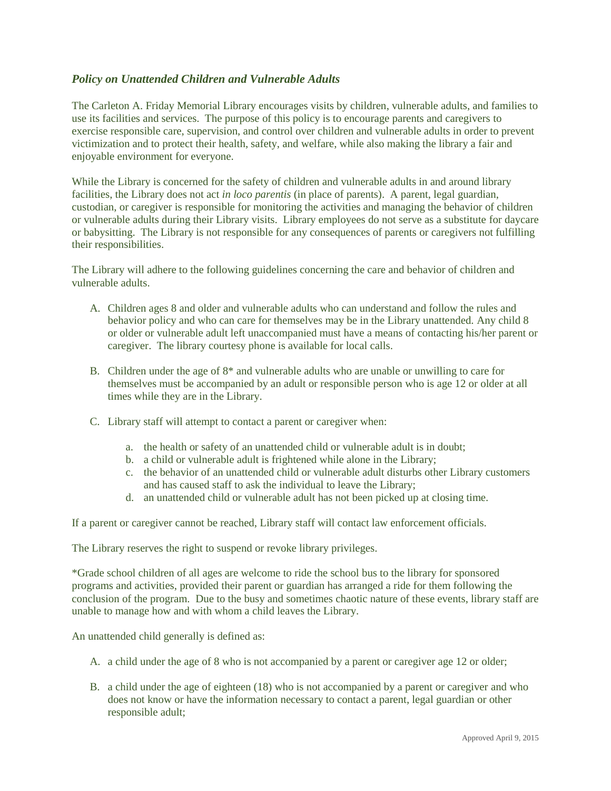## *Policy on Unattended Children and Vulnerable Adults*

The Carleton A. Friday Memorial Library encourages visits by children, vulnerable adults, and families to use its facilities and services. The purpose of this policy is to encourage parents and caregivers to exercise responsible care, supervision, and control over children and vulnerable adults in order to prevent victimization and to protect their health, safety, and welfare, while also making the library a fair and enjoyable environment for everyone.

While the Library is concerned for the safety of children and vulnerable adults in and around library facilities, the Library does not act *in loco parentis* (in place of parents). A parent, legal guardian, custodian, or caregiver is responsible for monitoring the activities and managing the behavior of children or vulnerable adults during their Library visits. Library employees do not serve as a substitute for daycare or babysitting. The Library is not responsible for any consequences of parents or caregivers not fulfilling their responsibilities.

The Library will adhere to the following guidelines concerning the care and behavior of children and vulnerable adults.

- A. Children ages 8 and older and vulnerable adults who can understand and follow the rules and behavior policy and who can care for themselves may be in the Library unattended. Any child 8 or older or vulnerable adult left unaccompanied must have a means of contacting his/her parent or caregiver. The library courtesy phone is available for local calls.
- B. Children under the age of 8\* and vulnerable adults who are unable or unwilling to care for themselves must be accompanied by an adult or responsible person who is age 12 or older at all times while they are in the Library.
- C. Library staff will attempt to contact a parent or caregiver when:
	- a. the health or safety of an unattended child or vulnerable adult is in doubt;
	- b. a child or vulnerable adult is frightened while alone in the Library;
	- c. the behavior of an unattended child or vulnerable adult disturbs other Library customers and has caused staff to ask the individual to leave the Library;
	- d. an unattended child or vulnerable adult has not been picked up at closing time.

If a parent or caregiver cannot be reached, Library staff will contact law enforcement officials.

The Library reserves the right to suspend or revoke library privileges.

\*Grade school children of all ages are welcome to ride the school bus to the library for sponsored programs and activities, provided their parent or guardian has arranged a ride for them following the conclusion of the program. Due to the busy and sometimes chaotic nature of these events, library staff are unable to manage how and with whom a child leaves the Library.

An unattended child generally is defined as:

- A. a child under the age of 8 who is not accompanied by a parent or caregiver age 12 or older;
- B. a child under the age of eighteen (18) who is not accompanied by a parent or caregiver and who does not know or have the information necessary to contact a parent, legal guardian or other responsible adult;